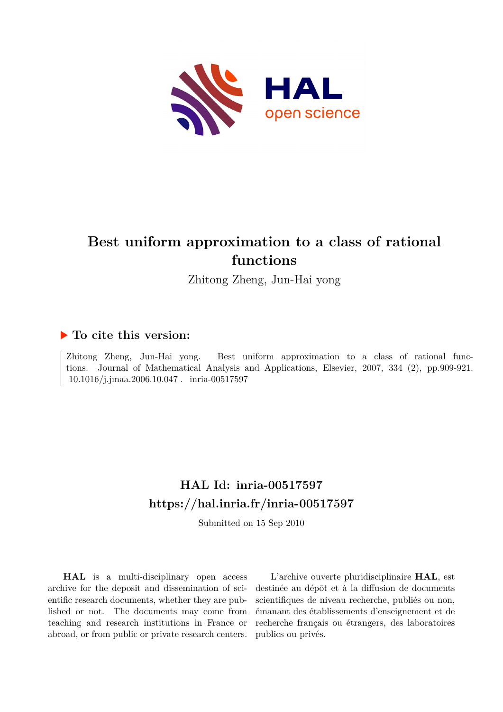

# **Best uniform approximation to a class of rational functions**

Zhitong Zheng, Jun-Hai yong

## **To cite this version:**

Zhitong Zheng, Jun-Hai yong. Best uniform approximation to a class of rational functions. Journal of Mathematical Analysis and Applications, Elsevier, 2007, 334 (2), pp.909-921.  $10.1016/j.jmaa.2006.10.047$  .  $\,$  inria-00517597

# **HAL Id: inria-00517597 <https://hal.inria.fr/inria-00517597>**

Submitted on 15 Sep 2010

**HAL** is a multi-disciplinary open access archive for the deposit and dissemination of scientific research documents, whether they are published or not. The documents may come from teaching and research institutions in France or abroad, or from public or private research centers.

L'archive ouverte pluridisciplinaire **HAL**, est destinée au dépôt et à la diffusion de documents scientifiques de niveau recherche, publiés ou non, émanant des établissements d'enseignement et de recherche français ou étrangers, des laboratoires publics ou privés.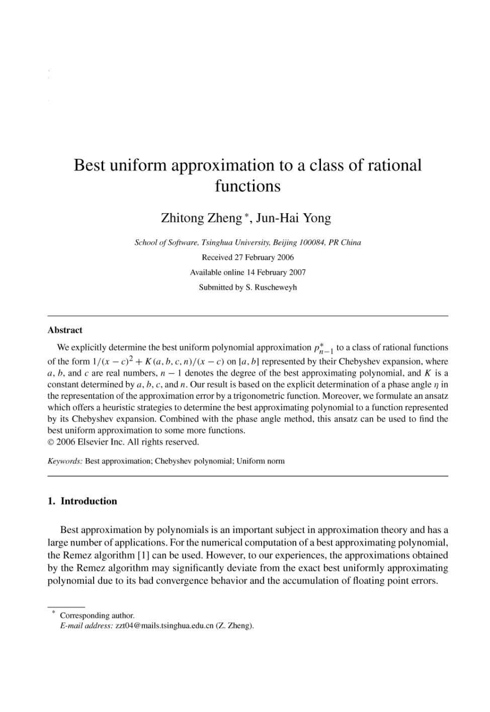## Best uniform approximation to a class of rational functions

Zhitong Zheng\*, Jun-Hai Yong

School of Software, Tsinghua University, Beijing 100084, PR China Received 27 February 2006 Available online 14 February 2007 Submitted by S. Ruschewevh

## **Abstract**

We explicitly determine the best uniform polynomial approximation  $p_{n-1}^*$  to a class of rational functions of the form  $1/(x - c)^2 + K(a, b, c, n)/(x - c)$  on [a, b] represented by their Chebyshev expansion, where a, b, and c are real numbers,  $n-1$  denotes the degree of the best approximating polynomial, and K is a constant determined by a, b, c, and n. Our result is based on the explicit determination of a phase angle  $\eta$  in the representation of the approximation error by a trigonometric function. Moreover, we formulate an ansatz which offers a heuristic strategies to determine the best approximating polynomial to a function represented by its Chebyshev expansion. Combined with the phase angle method, this ansatz can be used to find the best uniform approximation to some more functions. © 2006 Elsevier Inc. All rights reserved.

Keywords: Best approximation; Chebyshev polynomial; Uniform norm

### 1. Introduction

Best approximation by polynomials is an important subject in approximation theory and has a large number of applications. For the numerical computation of a best approximating polynomial, the Remez algorithm [1] can be used. However, to our experiences, the approximations obtained by the Remez algorithm may significantly deviate from the exact best uniformly approximating polynomial due to its bad convergence behavior and the accumulation of floating point errors.

Corresponding author.

E-mail address: zzt04@mails.tsinghua.edu.cn (Z. Zheng).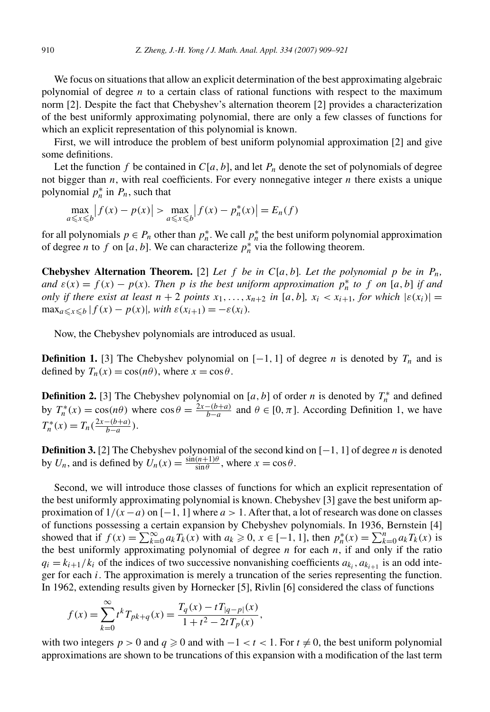We focus on situations that allow an explicit determination of the best approximating algebraic polynomial of degree *n* to a certain class of rational functions with respect to the maximum norm [2]. Despite the fact that Chebyshev's alternation theorem [2] provides a characterization of the best uniformly approximating polynomial, there are only a few classes of functions for which an explicit representation of this polynomial is known.

First, we will introduce the problem of best uniform polynomial approximation [2] and give some definitions.

Let the function f be contained in  $C[a, b]$ , and let  $P_n$  denote the set of polynomials of degree not bigger than  $n$ , with real coefficients. For every nonnegative integer  $n$  there exists a unique polynomial  $p_n^*$  in  $P_n$ , such that

$$
\max_{a \le x \le b} |f(x) - p(x)| > \max_{a \le x \le b} |f(x) - p_n^*(x)| = E_n(f)
$$

for all polynomials  $p \in P_n$  other than  $p_n^*$ . We call  $p_n^*$  the best uniform polynomial approximation of degree *n* to *f* on [*a*, *b*]. We can characterize  $p_n^*$  via the following theorem.

**Chebyshev Alternation Theorem.** [2] *Let*  $f$  *be in*  $C[a, b]$ *. Let the polynomial*  $p$  *be in*  $P_n$ *, and*  $\varepsilon(x) = f(x) - p(x)$ *. Then p is the best uniform approximation*  $p_n^*$  *to f on* [*a,b*] *if and only if there exist at least*  $n + 2$  *points*  $x_1, \ldots, x_{n+2}$  *in* [ $a, b$ ]*,*  $x_i < x_{i+1}$ *, for which*  $|\varepsilon(x_i)| =$  $\max_{a \leq x \leq b} |f(x) - p(x)|$ *, with*  $\varepsilon(x_{i+1}) = -\varepsilon(x_i)$ *.* 

Now, the Chebyshev polynomials are introduced as usual.

**Definition 1.** [3] The Chebyshev polynomial on  $[-1, 1]$  of degree *n* is denoted by  $T_n$  and is defined by  $T_n(x) = \cos(n\theta)$ , where  $x = \cos \theta$ .

**Definition 2.** [3] The Chebyshev polynomial on [*a*, *b*] of order *n* is denoted by  $T_n^*$  and defined by  $T_n^*(x) = \cos(n\theta)$  where  $\cos \theta = \frac{2x - (b+a)}{b-a}$  and  $\theta \in [0, \pi]$ . According Definition 1, we have  $T_n^*(x) = T_n(\frac{2x - (b+a)}{b-a}).$ 

**Definition 3.** [2] The Chebyshev polynomial of the second kind on [−1, 1] of degree *n* is denoted by  $U_n$ , and is defined by  $U_n(x) = \frac{\sin((n+1)\theta)}{\sin \theta}$ , where  $x = \cos \theta$ .

Second, we will introduce those classes of functions for which an explicit representation of the best uniformly approximating polynomial is known. Chebyshev [3] gave the best uniform approximation of  $1/(x - a)$  on  $[-1, 1]$  where  $a > 1$ . After that, a lot of research was done on classes of functions possessing a certain expansion by Chebyshev polynomials. In 1936, Bernstein [4] showed that if  $f(x) = \sum_{k=0}^{\infty} a_k T_k(x)$  with  $a_k \ge 0, x \in [-1, 1]$ , then  $p_n^*(x) = \sum_{k=0}^n a_k T_k(x)$  is the best uniformly approximating polynomial of degree  $n$  for each  $n$ , if and only if the ratio  $q_i = k_{i+1}/k_i$  of the indices of two successive nonvanishing coefficients  $a_{k_i}, a_{k_{i+1}}$  is an odd integer for each *i*. The approximation is merely a truncation of the series representing the function. In 1962, extending results given by Hornecker [5], Rivlin [6] considered the class of functions

$$
f(x) = \sum_{k=0}^{\infty} t^k T_{pk+q}(x) = \frac{T_q(x) - t T_{|q-p|}(x)}{1 + t^2 - 2t T_p(x)},
$$

with two integers  $p > 0$  and  $q \ge 0$  and with  $-1 < t < 1$ . For  $t \ne 0$ , the best uniform polynomial approximations are shown to be truncations of this expansion with a modification of the last term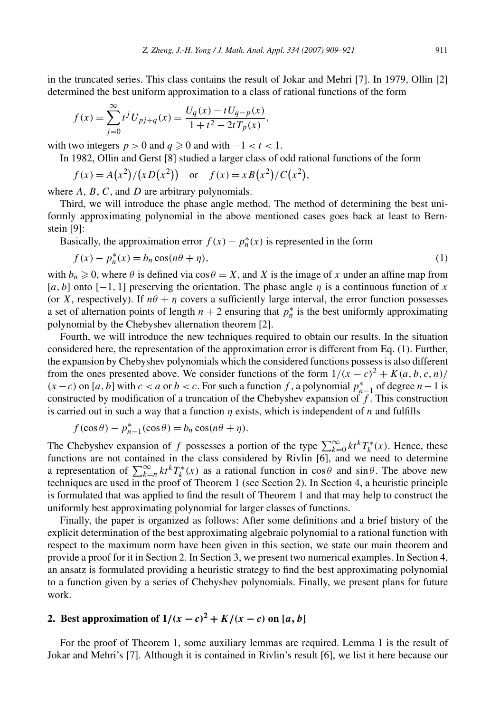in the truncated series. This class contains the result of Jokar and Mehri [7]. In 1979, Ollin [2] determined the best uniform approximation to a class of rational functions of the form

$$
f(x) = \sum_{j=0}^{\infty} t^j U_{pj+q}(x) = \frac{U_q(x) - tU_{q-p}(x)}{1 + t^2 - 2tT_p(x)},
$$

with two integers  $p > 0$  and  $q \ge 0$  and with  $-1 < t < 1$ .

In 1982, Ollin and Gerst [8] studied a larger class of odd rational functions of the form

$$
f(x) = A(x^2)/(xD(x^2))
$$
 or  $f(x) = xB(x^2)/C(x^2)$ ,

where *A*, *B*, *C*, and *D* are arbitrary polynomials.

Third, we will introduce the phase angle method. The method of determining the best uniformly approximating polynomial in the above mentioned cases goes back at least to Bernstein [9]:

Basically, the approximation error  $f(x) - p_n^*(x)$  is represented in the form

$$
f(x) - p_n^*(x) = b_n \cos(n\theta + \eta),
$$
\n(1)

with  $b_n \ge 0$ , where  $\theta$  is defined via  $\cos \theta = X$ , and *X* is the image of *x* under an affine map from [*a,b*] onto [−1*,* 1] preserving the orientation. The phase angle *η* is a continuous function of *x* (or *X*, respectively). If  $n\theta + \eta$  covers a sufficiently large interval, the error function possesses a set of alternation points of length  $n + 2$  ensuring that  $p_n^*$  is the best uniformly approximating polynomial by the Chebyshev alternation theorem [2].

Fourth, we will introduce the new techniques required to obtain our results. In the situation considered here, the representation of the approximation error is different from Eq. (1). Further, the expansion by Chebyshev polynomials which the considered functions possess is also different from the ones presented above. We consider functions of the form  $1/(x - c)^2 + K(a, b, c, n)/$  $(x - c)$  on [*a, b*] with  $c < a$  or  $b < c$ . For such a function *f* , a polynomial  $p_{n-1}^*$  of degree  $n-1$  is constructed by modification of a truncation of the Chebyshev expansion of *f* . This construction is carried out in such a way that a function  $\eta$  exists, which is independent of *n* and fulfills

$$
f(\cos\theta) - p_{n-1}^*(\cos\theta) = b_n \cos(n\theta + \eta).
$$

The Chebyshev expansion of *f* possesses a portion of the type  $\sum_{k=0}^{\infty} k t^k T_k^*(x)$ . Hence, these functions are not contained in the class considered by Rivlin [6], and we need to determine a representation of  $\sum_{k=n}^{\infty} k t^k T_k^*(x)$  as a rational function in  $\cos \theta$  and  $\sin \theta$ . The above new techniques are used in the proof of Theorem 1 (see Section 2). In Section 4, a heuristic principle is formulated that was applied to find the result of Theorem 1 and that may help to construct the uniformly best approximating polynomial for larger classes of functions.

Finally, the paper is organized as follows: After some definitions and a brief history of the explicit determination of the best approximating algebraic polynomial to a rational function with respect to the maximum norm have been given in this section, we state our main theorem and provide a proof for it in Section 2. In Section 3, we present two numerical examples. In Section 4, an ansatz is formulated providing a heuristic strategy to find the best approximating polynomial to a function given by a series of Chebyshev polynomials. Finally, we present plans for future work.

## **2.** Best approximation of  $1/(x - c)^2 + K/(x - c)$  on [*a*, *b*]

For the proof of Theorem 1, some auxiliary lemmas are required. Lemma 1 is the result of Jokar and Mehri's [7]. Although it is contained in Rivlin's result [6], we list it here because our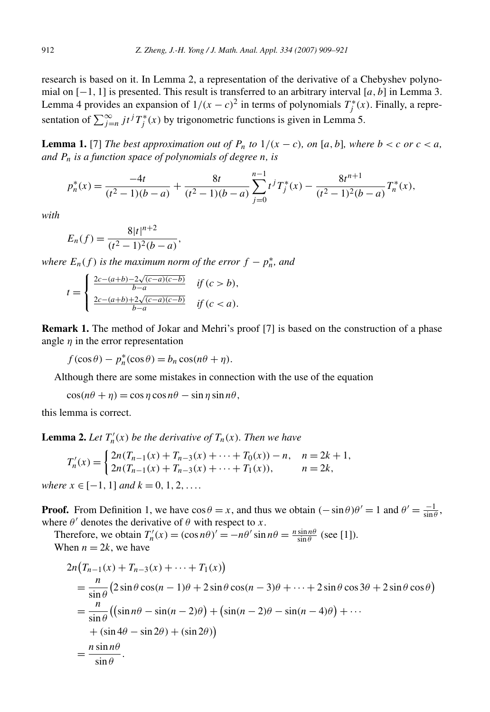research is based on it. In Lemma 2, a representation of the derivative of a Chebyshev polynomial on [−1*,* 1] is presented. This result is transferred to an arbitrary interval [*a,b*] in Lemma 3. Lemma 4 provides an expansion of  $1/(x - c)^2$  in terms of polynomials  $T_j^*(x)$ . Finally, a representation of  $\sum_{j=n}^{\infty} j t^j T_j^*(x)$  by trigonometric functions is given in Lemma 5.

**Lemma 1.** [7] *The best approximation out of*  $P_n$  *to*  $1/(x - c)$ *, on* [a, b]*, where*  $b < c$  *or*  $c < a$ *, and Pn is a function space of polynomials of degree n, is*

$$
p_n^*(x) = \frac{-4t}{(t^2 - 1)(b - a)} + \frac{8t}{(t^2 - 1)(b - a)} \sum_{j=0}^{n-1} t^j T_j^*(x) - \frac{8t^{n+1}}{(t^2 - 1)^2(b - a)} T_n^*(x),
$$

*with*

$$
E_n(f) = \frac{8|t|^{n+2}}{(t^2-1)^2(b-a)},
$$

*where*  $E_n(f)$  *is the maximum norm of the error*  $f - p_n^*$ *, and* 

$$
t = \begin{cases} \frac{2c - (a+b) - 2\sqrt{(c-a)(c-b)}}{b-a} & \text{if } (c > b), \\ \frac{2c - (a+b) + 2\sqrt{(c-a)(c-b)}}{b-a} & \text{if } (c < a). \end{cases}
$$

**Remark 1.** The method of Jokar and Mehri's proof [7] is based on the construction of a phase angle  $\eta$  in the error representation

 $f(\cos \theta) - p_n^*(\cos \theta) = b_n \cos(n\theta + \eta).$ 

Although there are some mistakes in connection with the use of the equation

 $\cos(n\theta + \eta) = \cos \eta \cos n\theta - \sin \eta \sin n\theta$ ,

this lemma is correct.

**Lemma 2.** Let  $T'_n(x)$  be the derivative of  $T_n(x)$ . Then we have

$$
T'_n(x) = \begin{cases} 2n(T_{n-1}(x) + T_{n-3}(x) + \dots + T_0(x)) - n, & n = 2k + 1, \\ 2n(T_{n-1}(x) + T_{n-3}(x) + \dots + T_1(x)), & n = 2k, \end{cases}
$$

 $where x \in [-1, 1]$  *and*  $k = 0, 1, 2, \ldots$ 

**Proof.** From Definition 1, we have  $\cos \theta = x$ , and thus we obtain  $(-\sin \theta)\theta' = 1$  and  $\theta' = \frac{-1}{\sin \theta}$ , where  $\theta'$  denotes the derivative of  $\theta$  with respect to *x*.

Therefore, we obtain  $T'_n(x) = (\cos n\theta)' = -n\theta' \sin n\theta = \frac{n \sin n\theta}{\sin \theta}$  (see [1]). When  $n = 2k$ , we have

$$
2n(T_{n-1}(x) + T_{n-3}(x) + \dots + T_1(x))
$$
  
=  $\frac{n}{\sin \theta} (2 \sin \theta \cos(n-1)\theta + 2 \sin \theta \cos(n-3)\theta + \dots + 2 \sin \theta \cos 3\theta + 2 \sin \theta \cos \theta)$   
=  $\frac{n}{\sin \theta} ((\sin n\theta - \sin(n-2)\theta) + (\sin(n-2)\theta - \sin(n-4)\theta) + \dots$   
+  $(\sin 4\theta - \sin 2\theta) + (\sin 2\theta)$   
=  $\frac{n \sin n\theta}{\sin \theta}$ .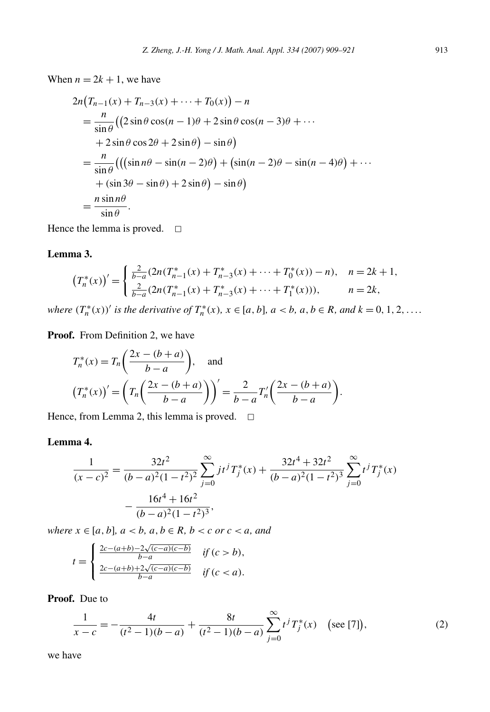When  $n = 2k + 1$ , we have

$$
2n(T_{n-1}(x) + T_{n-3}(x) + \dots + T_0(x)) - n
$$
  
=  $\frac{n}{\sin \theta} ((2 \sin \theta \cos(n-1)\theta + 2 \sin \theta \cos(n-3)\theta + \dots$   
+  $2 \sin \theta \cos 2\theta + 2 \sin \theta) - \sin \theta)$   
=  $\frac{n}{\sin \theta} ((\sin n\theta - \sin(n-2)\theta) + (\sin(n-2)\theta - \sin(n-4)\theta) + \dots$   
+  $(\sin 3\theta - \sin \theta) + 2 \sin \theta) - \sin \theta)$   
=  $\frac{n \sin n\theta}{\sin \theta}$ .

Hence the lemma is proved.  $\square$ 

## **Lemma 3.**

$$
\left(T_n^*(x)\right)' = \begin{cases} \frac{2}{b-a}(2n(T_{n-1}^*(x) + T_{n-3}^*(x) + \dots + T_0^*(x)) - n), & n = 2k + 1, \\ \frac{2}{b-a}(2n(T_{n-1}^*(x) + T_{n-3}^*(x) + \dots + T_1^*(x))), & n = 2k, \end{cases}
$$

where  $(T_n^*(x))'$  is the derivative of  $T_n^*(x)$ ,  $x \in [a, b]$ ,  $a < b$ ,  $a, b \in R$ , and  $k = 0, 1, 2, ...$ 

Proof. From Definition 2, we have

$$
T_n^*(x) = T_n\left(\frac{2x - (b+a)}{b-a}\right), \text{ and}
$$

$$
(T_n^*(x))' = \left(T_n\left(\frac{2x - (b+a)}{b-a}\right)\right)' = \frac{2}{b-a}T_n'\left(\frac{2x - (b+a)}{b-a}\right).
$$

Hence, from Lemma 2, this lemma is proved.  $\Box$ 

## **Lemma 4.**

$$
\frac{1}{(x-c)^2} = \frac{32t^2}{(b-a)^2(1-t^2)^2} \sum_{j=0}^{\infty} j t^j T_j^*(x) + \frac{32t^4 + 32t^2}{(b-a)^2(1-t^2)^3} \sum_{j=0}^{\infty} t^j T_j^*(x) - \frac{16t^4 + 16t^2}{(b-a)^2(1-t^2)^3},
$$

*where*  $x \in [a, b]$ *,*  $a < b$ *,*  $a, b \in R$ *,*  $b < c$  *or*  $c < a$ *, and* 

$$
t = \begin{cases} \frac{2c - (a+b) - 2\sqrt{(c-a)(c-b)}}{b-a} & \text{if } (c > b), \\ \frac{2c - (a+b) + 2\sqrt{(c-a)(c-b)}}{b-a} & \text{if } (c < a). \end{cases}
$$

**Proof.** Due to

$$
\frac{1}{x-c} = -\frac{4t}{(t^2-1)(b-a)} + \frac{8t}{(t^2-1)(b-a)} \sum_{j=0}^{\infty} t^j T_j^*(x) \quad \text{(see [7]),} \tag{2}
$$

we have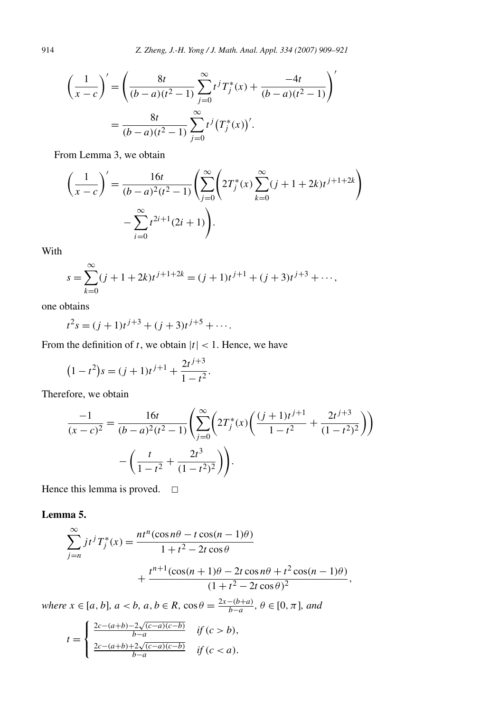$$
\left(\frac{1}{x-c}\right)' = \left(\frac{8t}{(b-a)(t^2-1)}\sum_{j=0}^{\infty} t^j T_j^*(x) + \frac{-4t}{(b-a)(t^2-1)}\right)'
$$

$$
= \frac{8t}{(b-a)(t^2-1)}\sum_{j=0}^{\infty} t^j (T_j^*(x))'.
$$

From Lemma 3, we obtain

$$
\left(\frac{1}{x-c}\right)' = \frac{16t}{(b-a)^2(t^2-1)} \left(\sum_{j=0}^{\infty} \left(2T_j^*(x)\sum_{k=0}^{\infty} (j+1+2k)t^{j+1+2k}\right) - \sum_{i=0}^{\infty} t^{2i+1}(2i+1)\right).
$$

With

$$
s = \sum_{k=0}^{\infty} (j + 1 + 2k)t^{j+1+2k} = (j + 1)t^{j+1} + (j + 3)t^{j+3} + \cdots,
$$

one obtains

$$
t^2s = (j+1)t^{j+3} + (j+3)t^{j+5} + \cdots
$$

From the definition of *t*, we obtain  $|t|$  < 1. Hence, we have

$$
(1 - t2)s = (j + 1)tj+1 + \frac{2tj+3}{1 - t2}.
$$

Therefore, we obtain

$$
\frac{-1}{(x-c)^2} = \frac{16t}{(b-a)^2(t^2-1)} \left( \sum_{j=0}^{\infty} \left( 2T_j^*(x) \left( \frac{(j+1)t^{j+1}}{1-t^2} + \frac{2t^{j+3}}{(1-t^2)^2} \right) \right) - \left( \frac{t}{1-t^2} + \frac{2t^3}{(1-t^2)^2} \right) \right).
$$

Hence this lemma is proved.  $\square$ 

**Lemma 5.**

$$
\sum_{j=n}^{\infty} j t^j T_j^*(x) = \frac{n t^n (\cos n\theta - t \cos(n-1)\theta)}{1 + t^2 - 2t \cos \theta} + \frac{t^{n+1} (\cos(n+1)\theta - 2t \cos n\theta + t^2 \cos(n-1)\theta)}{(1 + t^2 - 2t \cos \theta)^2},
$$

*where x* ∈ *[a, b], a* < *b, a, b* ∈ *R,* cos  $\theta = \frac{2x - (b+a)}{b-a}$ ,  $\theta \in [0, \pi]$ *, and* 

$$
t = \begin{cases} \frac{2c - (a+b) - 2\sqrt{(c-a)(c-b)}}{b-a} & \text{if } (c > b), \\ \frac{2c - (a+b) + 2\sqrt{(c-a)(c-b)}}{b-a} & \text{if } (c < a). \end{cases}
$$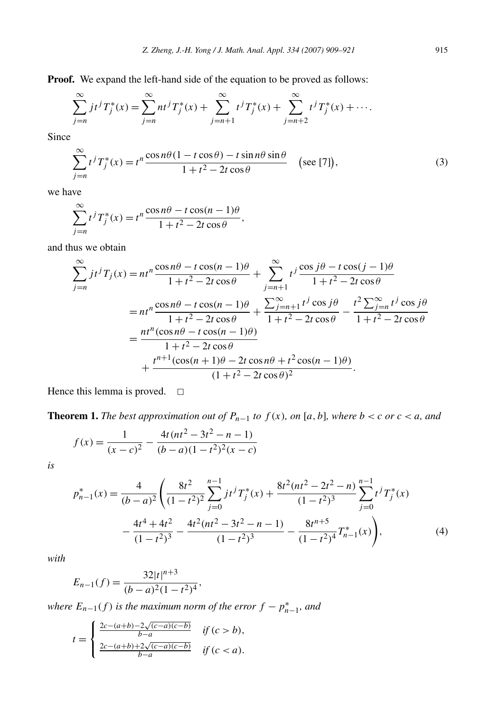**Proof.** We expand the left-hand side of the equation to be proved as follows:

$$
\sum_{j=n}^{\infty} j t^j T_j^*(x) = \sum_{j=n}^{\infty} n t^j T_j^*(x) + \sum_{j=n+1}^{\infty} t^j T_j^*(x) + \sum_{j=n+2}^{\infty} t^j T_j^*(x) + \cdots
$$

Since

$$
\sum_{j=n}^{\infty} t^j T_j^*(x) = t^n \frac{\cos n\theta (1 - t\cos \theta) - t\sin n\theta \sin \theta}{1 + t^2 - 2t\cos \theta} \quad \text{(see [7]),}
$$
\n(3)

we have

$$
\sum_{j=n}^{\infty} t^j T_j^*(x) = t^n \frac{\cos n\theta - t \cos(n-1)\theta}{1 + t^2 - 2t \cos \theta},
$$

and thus we obtain

$$
\sum_{j=n}^{\infty} j t^j T_j(x) = n t^n \frac{\cos n\theta - t \cos(n-1)\theta}{1 + t^2 - 2t \cos \theta} + \sum_{j=n+1}^{\infty} t^j \frac{\cos j\theta - t \cos(j-1)\theta}{1 + t^2 - 2t \cos \theta}
$$
  
= 
$$
n t^n \frac{\cos n\theta - t \cos(n-1)\theta}{1 + t^2 - 2t \cos \theta} + \frac{\sum_{j=n+1}^{\infty} t^j \cos j\theta}{1 + t^2 - 2t \cos \theta} - \frac{t^2 \sum_{j=n}^{\infty} t^j \cos j\theta}{1 + t^2 - 2t \cos \theta}
$$
  
= 
$$
\frac{n t^n (\cos n\theta - t \cos(n-1)\theta)}{1 + t^2 - 2t \cos \theta}
$$
  
+ 
$$
\frac{t^{n+1} (\cos(n+1)\theta - 2t \cos n\theta + t^2 \cos(n-1)\theta)}{(1 + t^2 - 2t \cos \theta)^2}.
$$

Hence this lemma is proved.  $\square$ 

**Theorem 1.** *The best approximation out of*  $P_{n-1}$  *to*  $f(x)$ *, on* [ $a$ *,*  $b$ ]*, where*  $b < c$  *or*  $c < a$ *, and* 

$$
f(x) = \frac{1}{(x-c)^2} - \frac{4t(nt^2 - 3t^2 - n - 1)}{(b-a)(1-t^2)^2(x-c)}
$$

*is*

$$
p_{n-1}^{*}(x) = \frac{4}{(b-a)^2} \left( \frac{8t^2}{(1-t^2)^2} \sum_{j=0}^{n-1} j t^j T_j^{*}(x) + \frac{8t^2 (nt^2 - 2t^2 - n)}{(1-t^2)^3} \sum_{j=0}^{n-1} t^j T_j^{*}(x) - \frac{4t^4 + 4t^2}{(1-t^2)^3} - \frac{4t^2 (nt^2 - 3t^2 - n - 1)}{(1-t^2)^3} - \frac{8t^{n+5}}{(1-t^2)^4} T_{n-1}^{*}(x) \right),
$$
\n(4)

*with*

$$
E_{n-1}(f) = \frac{32|t|^{n+3}}{(b-a)^2(1-t^2)^4},
$$

*where*  $E_{n-1}(f)$  *is the maximum norm of the error*  $f - p_{n-1}^*$ *, and* 

$$
t = \begin{cases} \frac{2c - (a+b) - 2\sqrt{(c-a)(c-b)}}{b-a} & \text{if } (c > b), \\ \frac{2c - (a+b) + 2\sqrt{(c-a)(c-b)}}{b-a} & \text{if } (c < a). \end{cases}
$$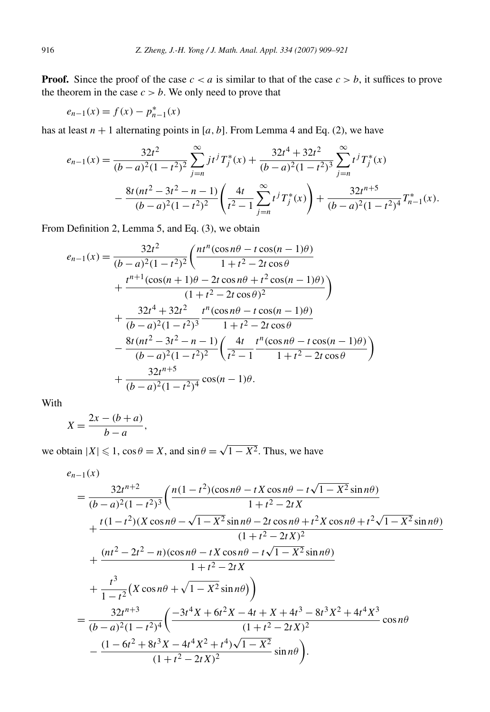**Proof.** Since the proof of the case  $c < a$  is similar to that of the case  $c > b$ , it suffices to prove the theorem in the case  $c > b$ . We only need to prove that

$$
e_{n-1}(x) = f(x) - p_{n-1}^*(x)
$$

has at least  $n + 1$  alternating points in [ $a, b$ ]. From Lemma 4 and Eq. (2), we have

$$
e_{n-1}(x) = \frac{32t^2}{(b-a)^2(1-t^2)^2} \sum_{j=n}^{\infty} j t^j T_j^*(x) + \frac{32t^4 + 32t^2}{(b-a)^2(1-t^2)^3} \sum_{j=n}^{\infty} t^j T_j^*(x)
$$

$$
- \frac{8t(nt^2 - 3t^2 - n - 1)}{(b-a)^2(1-t^2)^2} \left(\frac{4t}{t^2 - 1} \sum_{j=n}^{\infty} t^j T_j^*(x)\right) + \frac{32t^{n+5}}{(b-a)^2(1-t^2)^4} T_{n-1}^*(x).
$$

From Definition 2, Lemma 5, and Eq. (3), we obtain

$$
e_{n-1}(x) = \frac{32t^2}{(b-a)^2(1-t^2)^2} \left( \frac{nt^n(\cos n\theta - t\cos(n-1)\theta)}{1+t^2 - 2t\cos\theta} + \frac{t^{n+1}(\cos(n+1)\theta - 2t\cos n\theta + t^2\cos(n-1)\theta)}{(1+t^2 - 2t\cos\theta)^2} \right)
$$
  
+ 
$$
\frac{32t^4 + 32t^2}{(b-a)^2(1-t^2)^3} \frac{t^n(\cos n\theta - t\cos(n-1)\theta)}{1+t^2 - 2t\cos\theta} - \frac{8t(nt^2 - 3t^2 - n - 1)}{(b-a)^2(1-t^2)^2} \left( \frac{4t}{t^2 - 1} \frac{t^n(\cos n\theta - t\cos(n-1)\theta)}{1+t^2 - 2t\cos\theta} \right)
$$
  
+ 
$$
\frac{32t^{n+5}}{(b-a)^2(1-t^2)^4} \cos(n-1)\theta.
$$

With

$$
X = \frac{2x - (b + a)}{b - a},
$$

we obtain  $|X| \le 1$ ,  $\cos \theta = X$ , and  $\sin \theta = \sqrt{1 - X^2}$ . Thus, we have

$$
e_{n-1}(x) = \frac{32t^{n+2}}{(b-a)^2(1-t^2)^3} \left( \frac{n(1-t^2)(\cos n\theta - tX\cos n\theta - t\sqrt{1-X^2}\sin n\theta)}{1+t^2-2tX} + \frac{t(1-t^2)(X\cos n\theta - \sqrt{1-X^2}\sin n\theta - 2t\cos n\theta + t^2X\cos n\theta + t^2\sqrt{1-X^2}\sin n\theta)}{(1+t^2-2tX)^2} + \frac{(nt^2-2t^2-n)(\cos n\theta - tX\cos n\theta - t\sqrt{1-X^2}\sin n\theta)}{1+t^2-2tX} + \frac{t^3}{1-t^2}(X\cos n\theta + \sqrt{1-X^2}\sin n\theta)\n= \frac{32t^{n+3}}{(b-a)^2(1-t^2)^4} \left( \frac{-3t^4X + 6t^2X - 4t + X + 4t^3 - 8t^3X^2 + 4t^4X^3}{(1+t^2-2tX)^2}\cos n\theta - \frac{(1-6t^2+8t^3X-4t^4X^2+t^4)\sqrt{1-X^2}}{(1+t^2-2tX)^2}\sin n\theta \right).
$$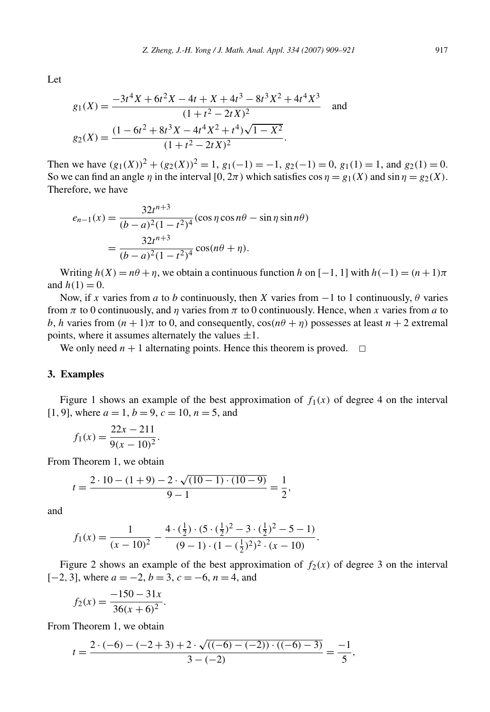Let

$$
g_1(X) = \frac{-3t^4X + 6t^2X - 4t + X + 4t^3 - 8t^3X^2 + 4t^4X^3}{(1 + t^2 - 2tX)^2}
$$
 and  

$$
g_2(X) = \frac{(1 - 6t^2 + 8t^3X - 4t^4X^2 + t^4)\sqrt{1 - X^2}}{(1 + t^2 - 2tX)^2}.
$$

Then we have  $(g_1(X))^2 + (g_2(X))^2 = 1$ ,  $g_1(-1) = -1$ ,  $g_2(-1) = 0$ ,  $g_1(1) = 1$ , and  $g_2(1) = 0$ . So we can find an angle *η* in the interval [0,  $2\pi$ ) which satisfies  $\cos \eta = g_1(X)$  and  $\sin \eta = g_2(X)$ . Therefore, we have

$$
e_{n-1}(x) = \frac{32t^{n+3}}{(b-a)^2(1-t^2)^4} (\cos \eta \cos n\theta - \sin \eta \sin n\theta)
$$
  
= 
$$
\frac{32t^{n+3}}{(b-a)^2(1-t^2)^4} \cos(n\theta + \eta).
$$

Writing  $h(X) = n\theta + \eta$ , we obtain a continuous function *h* on  $[-1, 1]$  with  $h(-1) = (n+1)\pi$ and  $h(1) = 0$ .

Now, if *x* varies from *a* to *b* continuously, then *X* varies from −1 to 1 continuously, *θ* varies from *π* to 0 continuously, and *η* varies from *π* to 0 continuously. Hence, when *x* varies from *a* to *b*, *h* varies from  $(n + 1)\pi$  to 0, and consequently,  $\cos(n\theta + \eta)$  possesses at least  $n + 2$  extremal points, where it assumes alternately the values  $\pm 1$ .

We only need  $n + 1$  alternating points. Hence this theorem is proved.  $\Box$ 

#### **3. Examples**

Figure 1 shows an example of the best approximation of  $f_1(x)$  of degree 4 on the interval [1, 9], where  $a = 1$ ,  $b = 9$ ,  $c = 10$ ,  $n = 5$ , and

$$
f_1(x) = \frac{22x - 211}{9(x - 10)^2}.
$$

From Theorem 1, we obtain

$$
t = \frac{2 \cdot 10 - (1+9) - 2 \cdot \sqrt{(10-1) \cdot (10-9)}}{9-1} = \frac{1}{2},
$$

and

$$
f_1(x) = \frac{1}{(x-10)^2} - \frac{4 \cdot (\frac{1}{2}) \cdot (5 \cdot (\frac{1}{2})^2 - 3 \cdot (\frac{1}{2})^2 - 5 - 1)}{(9-1) \cdot (1 - (\frac{1}{2})^2)^2 \cdot (x-10)}.
$$

Figure 2 shows an example of the best approximation of  $f_2(x)$  of degree 3 on the interval [−2*,* 3], where *a* = −2, *b* = 3, *c* = −6, *n* = 4, and

$$
f_2(x) = \frac{-150 - 31x}{36(x+6)^2}.
$$

From Theorem 1, we obtain

$$
t = \frac{2 \cdot (-6) - (-2 + 3) + 2 \cdot \sqrt{((-6) - (-2)) \cdot ((-6) - 3)}}{3 - (-2)} = \frac{-1}{5},
$$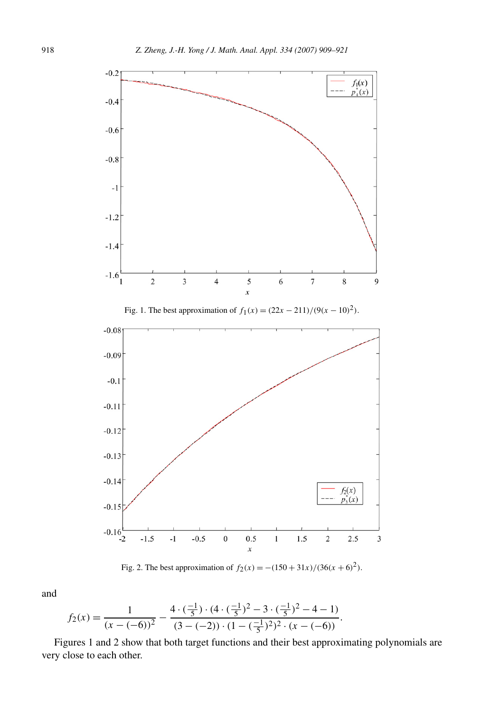

Fig. 2. The best approximation of  $f_2(x) = -(150 + 31x)/(36(x + 6)^2)$ .

and

$$
f_2(x) = \frac{1}{(x - (-6))^2} - \frac{4 \cdot (\frac{-1}{5}) \cdot (4 \cdot (\frac{-1}{5})^2 - 3 \cdot (\frac{-1}{5})^2 - 4 - 1)}{(3 - (-2)) \cdot (1 - (\frac{-1}{5})^2)^2 \cdot (x - (-6))}.
$$

Figures 1 and 2 show that both target functions and their best approximating polynomials are very close to each other.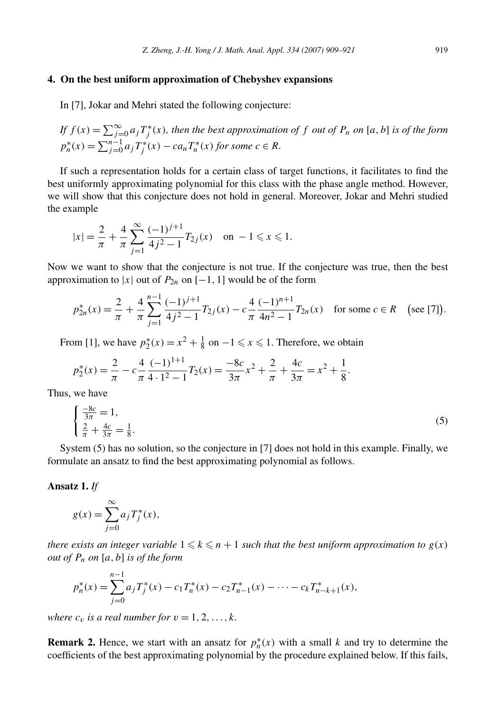## **4. On the best uniform approximation of Chebyshev expansions**

In [7], Jokar and Mehri stated the following conjecture:

If 
$$
f(x) = \sum_{j=0}^{\infty} a_j T_j^*(x)
$$
, then the best approximation of  $f$  out of  $P_n$  on  $[a, b]$  is of the form  $p_n^*(x) = \sum_{j=0}^{n-1} a_j T_j^*(x) - ca_n T_n^*(x)$  for some  $c \in R$ .

If such a representation holds for a certain class of target functions, it facilitates to find the best uniformly approximating polynomial for this class with the phase angle method. However, we will show that this conjecture does not hold in general. Moreover, Jokar and Mehri studied the example

$$
|x| = \frac{2}{\pi} + \frac{4}{\pi} \sum_{j=1}^{\infty} \frac{(-1)^{j+1}}{4j^2 - 1} T_{2j}(x) \quad \text{on } -1 \leq x \leq 1.
$$

Now we want to show that the conjecture is not true. If the conjecture was true, then the best approximation to |*x*| out of  $P_{2n}$  on [−1, 1] would be of the form

$$
p_{2n}^*(x) = \frac{2}{\pi} + \frac{4}{\pi} \sum_{j=1}^{n-1} \frac{(-1)^{j+1}}{4j^2 - 1} T_{2j}(x) - c \frac{4}{\pi} \frac{(-1)^{n+1}}{4n^2 - 1} T_{2n}(x) \quad \text{for some } c \in R \quad \text{(see [7]).}
$$

From [1], we have  $p_2^*(x) = x^2 + \frac{1}{8}$  on  $-1 \le x \le 1$ . Therefore, we obtain

$$
p_2^*(x) = \frac{2}{\pi} - c\frac{4}{\pi} \frac{(-1)^{1+1}}{4 \cdot 1^2 - 1} T_2(x) = \frac{-8c}{3\pi} x^2 + \frac{2}{\pi} + \frac{4c}{3\pi} = x^2 + \frac{1}{8}.
$$

Thus, we have

$$
\begin{cases}\n\frac{-8c}{3\pi} = 1, \\
\frac{2}{\pi} + \frac{4c}{3\pi} = \frac{1}{8}.\n\end{cases}
$$
\n(5)

System (5) has no solution, so the conjecture in [7] does not hold in this example. Finally, we formulate an ansatz to find the best approximating polynomial as follows.

## **Ansatz 1.** *If*

$$
g(x) = \sum_{j=0}^{\infty} a_j T_j^*(x),
$$

*there exists an integer variable*  $1 \leq k \leq n+1$  *such that the best uniform approximation to*  $g(x)$ *out of Pn on* [*a,b*] *is of the form*

$$
p_n^*(x) = \sum_{j=0}^{n-1} a_j T_j^*(x) - c_1 T_n^*(x) - c_2 T_{n-1}^*(x) - \dots - c_k T_{n-k+1}^*(x),
$$

*where*  $c_v$  *is a real number for*  $v = 1, 2, \ldots, k$ *.* 

**Remark 2.** Hence, we start with an ansatz for  $p_n^*(x)$  with a small k and try to determine the coefficients of the best approximating polynomial by the procedure explained below. If this fails,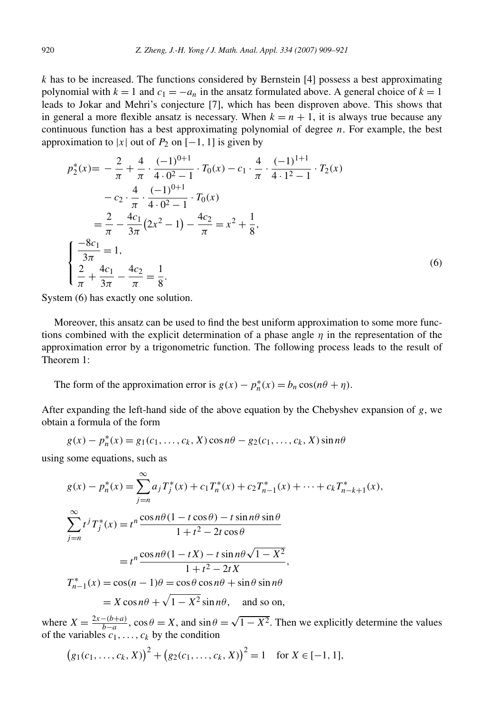*k* has to be increased. The functions considered by Bernstein [4] possess a best approximating polynomial with  $k = 1$  and  $c_1 = -a_n$  in the ansatz formulated above. A general choice of  $k = 1$ leads to Jokar and Mehri's conjecture [7], which has been disproven above. This shows that in general a more flexible ansatz is necessary. When  $k = n + 1$ , it is always true because any continuous function has a best approximating polynomial of degree *n*. For example, the best approximation to  $|x|$  out of  $P_2$  on  $[-1, 1]$  is given by

$$
p_2^*(x) = -\frac{2}{\pi} + \frac{4}{\pi} \cdot \frac{(-1)^{0+1}}{4 \cdot 0^2 - 1} \cdot T_0(x) - c_1 \cdot \frac{4}{\pi} \cdot \frac{(-1)^{1+1}}{4 \cdot 1^2 - 1} \cdot T_2(x)
$$
  

$$
-c_2 \cdot \frac{4}{\pi} \cdot \frac{(-1)^{0+1}}{4 \cdot 0^2 - 1} \cdot T_0(x)
$$
  

$$
= \frac{2}{\pi} - \frac{4c_1}{3\pi} (2x^2 - 1) - \frac{4c_2}{\pi} = x^2 + \frac{1}{8},
$$
  

$$
\begin{cases} \frac{-8c_1}{3\pi} = 1, \\ \frac{2}{\pi} + \frac{4c_1}{3\pi} - \frac{4c_2}{\pi} = \frac{1}{8}. \end{cases}
$$
 (6)

System (6) has exactly one solution.

Moreover, this ansatz can be used to find the best uniform approximation to some more functions combined with the explicit determination of a phase angle *η* in the representation of the approximation error by a trigonometric function. The following process leads to the result of Theorem 1:

The form of the approximation error is  $g(x) - p_n^*(x) = b_n \cos(n\theta + \eta)$ .

After expanding the left-hand side of the above equation by the Chebyshev expansion of *g*, we obtain a formula of the form

$$
g(x) - p_n^*(x) = g_1(c_1, ..., c_k, X) \cos n\theta - g_2(c_1, ..., c_k, X) \sin n\theta
$$

using some equations, such as

$$
g(x) - p_n^*(x) = \sum_{j=n}^{\infty} a_j T_j^*(x) + c_1 T_n^*(x) + c_2 T_{n-1}^*(x) + \dots + c_k T_{n-k+1}^*(x),
$$
  

$$
\sum_{j=n}^{\infty} t^j T_j^*(x) = t^n \frac{\cos n\theta (1 - t \cos \theta) - t \sin n\theta \sin \theta}{1 + t^2 - 2t \cos \theta}
$$
  

$$
= t^n \frac{\cos n\theta (1 - tX) - t \sin n\theta \sqrt{1 - X^2}}{1 + t^2 - 2tX},
$$
  

$$
T_{n-1}^*(x) = \cos(n-1)\theta = \cos \theta \cos n\theta + \sin \theta \sin n\theta
$$
  

$$
= X \cos n\theta + \sqrt{1 - X^2} \sin n\theta, \text{ and so on,}
$$

where  $X = \frac{2x-(b+a)}{b-a}$ ,  $\cos \theta = X$ , and  $\sin \theta = \sqrt{1 - X^2}$ . Then we explicitly determine the values of the variables  $c_1, \ldots, c_k$  by the condition

$$
(g_1(c_1,...,c_k,X))^2 + (g_2(c_1,...,c_k,X))^2 = 1
$$
 for  $X \in [-1,1]$ ,